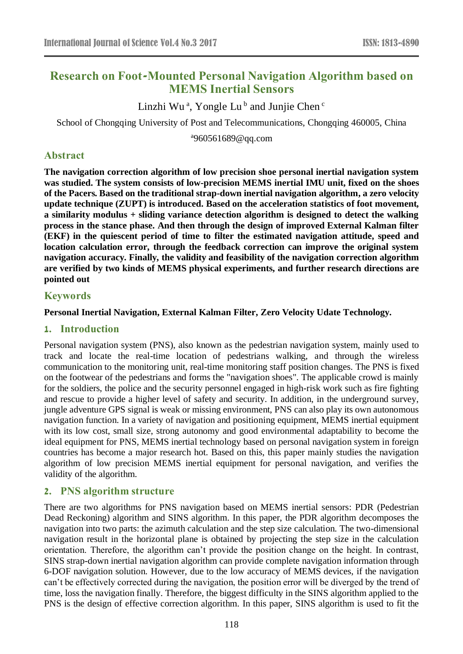# **Research on Foot-Mounted Personal Navigation Algorithm based on MEMS Inertial Sensors**

Linzhi Wu<sup>a</sup>, Yongle Lu<sup>b</sup> and Junjie Chen<sup>c</sup>

School of Chongqing University of Post and Telecommunications, Chongqing 460005, China

a 960561689@qq.com

# **Abstract**

**The navigation correction algorithm of low precision shoe personal inertial navigation system was studied. The system consists of low-precision MEMS inertial IMU unit, fixed on the shoes of the Pacers. Based on the traditional strap-down inertial navigation algorithm, a zero velocity update technique (ZUPT) is introduced. Based on the acceleration statistics of foot movement, a similarity modulus + sliding variance detection algorithm is designed to detect the walking process in the stance phase. And then through the design of improved External Kalman filter (EKF) in the quiescent period of time to filter the estimated navigation attitude, speed and location calculation error, through the feedback correction can improve the original system navigation accuracy. Finally, the validity and feasibility of the navigation correction algorithm are verified by two kinds of MEMS physical experiments, and further research directions are pointed out**

# **Keywords**

### **Personal Inertial Navigation, External Kalman Filter, Zero Velocity Udate Technology.**

### **1. Introduction**

Personal navigation system (PNS), also known as the pedestrian navigation system, mainly used to track and locate the real-time location of pedestrians walking, and through the wireless communication to the monitoring unit, real-time monitoring staff position changes. The PNS is fixed on the footwear of the pedestrians and forms the "navigation shoes". The applicable crowd is mainly for the soldiers, the police and the security personnel engaged in high-risk work such as fire fighting and rescue to provide a higher level of safety and security. In addition, in the underground survey, jungle adventure GPS signal is weak or missing environment, PNS can also play its own autonomous navigation function. In a variety of navigation and positioning equipment, MEMS inertial equipment with its low cost, small size, strong autonomy and good environmental adaptability to become the ideal equipment for PNS, MEMS inertial technology based on personal navigation system in foreign countries has become a major research hot. Based on this, this paper mainly studies the navigation algorithm of low precision MEMS inertial equipment for personal navigation, and verifies the validity of the algorithm.

### **2. PNS algorithm structure**

There are two algorithms for PNS navigation based on MEMS inertial sensors: PDR (Pedestrian Dead Reckoning) algorithm and SINS algorithm. In this paper, the PDR algorithm decomposes the navigation into two parts: the azimuth calculation and the step size calculation. The two-dimensional navigation result in the horizontal plane is obtained by projecting the step size in the calculation orientation. Therefore, the algorithm can't provide the position change on the height. In contrast, SINS strap-down inertial navigation algorithm can provide complete navigation information through 6-DOF navigation solution. However, due to the low accuracy of MEMS devices, if the navigation can't be effectively corrected during the navigation, the position error will be diverged by the trend of time, loss the navigation finally. Therefore, the biggest difficulty in the SINS algorithm applied to the PNS is the design of effective correction algorithm. In this paper, SINS algorithm is used to fit the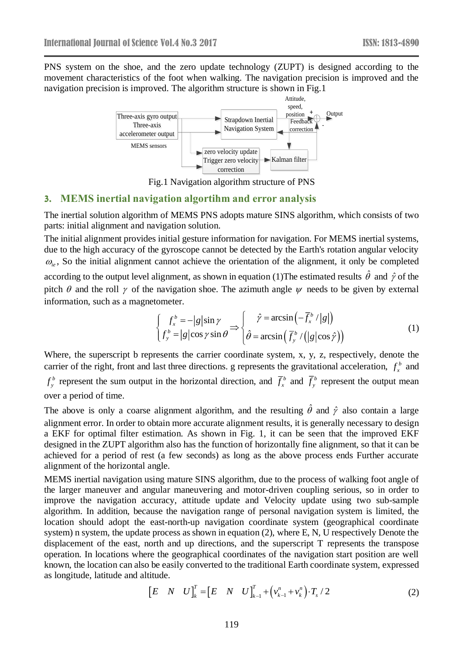PNS system on the shoe, and the zero update technology (ZUPT) is designed according to the movement characteristics of the foot when walking. The navigation precision is improved and the navigation precision is improved. The algorithm structure is shown in Fig.1



Fig.1 Navigation algorithm structure of PNS

#### **3. MEMS inertial navigation algortihm and error analysis**

The inertial solution algorithm of MEMS PNS adopts mature SINS algorithm, which consists of two parts: initial alignment and navigation solution.

The initial alignment provides initial gesture information for navigation. For MEMS inertial systems, due to the high accuracy of the gyroscope cannot be detected by the Earth's rotation angular velocity  $\omega_{ie}$ , So the initial alignment cannot achieve the orientation of the alignment, it only be completed according to the output level alignment, as shown in equation (1) The estimated results  $\hat{\theta}$  and  $\hat{\gamma}$  of the pitch  $\theta$  and the roll  $\gamma$  of the navigation shoe. The azimuth angle  $\psi$  needs to be given by external information, such as a magnetometer.

$$
\begin{cases}\nf_x^b = -|g|\sin\gamma \\
f_y^b = |g|\cos\gamma\sin\theta\n\end{cases} \Rightarrow \begin{cases}\n\hat{\gamma} = \arcsin\left(-\overline{f}_x^b / |g|\right) \\
\hat{\theta} = \arcsin\left(\overline{f}_y^b / (|g|\cos\hat{\gamma})\right)\n\end{cases} \tag{1}
$$

Where, the superscript b represents the carrier coordinate system, x, y, z, respectively, denote the carrier of the right, front and last three directions. g represents the gravitational acceleration,  $f<sub>r</sub><sup>b</sup>$  $f_x^b$  and

*b*  $f_{y}^{b}$  represent the sum output in the horizontal direction, and  $f_{x}^{b}$  $f_x^b$  and  $f_y^b$  $f_{y}^{b}$  represent the output mean over a period of time.

The above is only a coarse alignment algorithm, and the resulting  $\hat{\theta}$  and  $\hat{\gamma}$  also contain a large alignment error. In order to obtain more accurate alignment results, it is generally necessary to design a EKF for optimal filter estimation. As shown in Fig. 1, it can be seen that the improved EKF designed in the ZUPT algorithm also has the function of horizontally fine alignment, so that it can be achieved for a period of rest (a few seconds) as long as the above process ends Further accurate alignment of the horizontal angle.

MEMS inertial navigation using mature SINS algorithm, due to the process of walking foot angle of the larger maneuver and angular maneuvering and motor-driven coupling serious, so in order to improve the navigation accuracy, attitude update and Velocity update using two sub-sample algorithm. In addition, because the navigation range of personal navigation system is limited, the location should adopt the east-north-up navigation coordinate system (geographical coordinate system) n system, the update process as shown in equation (2), where E, N, U respectively Denote the displacement of the east, north and up directions, and the superscript T represents the transpose operation. In locations where the geographical coordinates of the navigation start position are well known, the location can also be easily converted to the traditional Earth coordinate system, expressed as longitude, latitude and altitude.

$$
\begin{bmatrix} E & N & U \end{bmatrix}_{k}^{T} = \begin{bmatrix} E & N & U \end{bmatrix}_{k-1}^{T} + \left( v_{k-1}^{n} + v_{k}^{n} \right) \cdot T_{s} / 2 \tag{2}
$$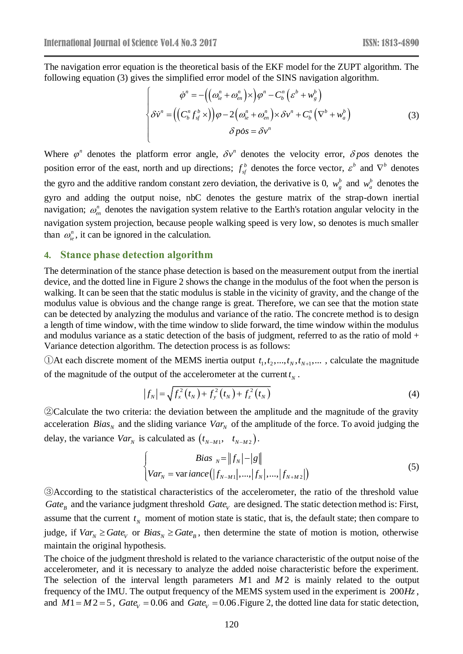The navigation error equation is the theoretical basis of the EKF model for the ZUPT algorithm. The following equation (3) gives the simplified error model of the SINS navigation algorithm.

$$
\begin{cases}\n\dot{\varphi}^n = -\left(\left(\omega_{ie}^n + \omega_{en}^n\right) \times \right) \varphi^n - C_b^n \left(\varepsilon^b + w_g^b\right) \\
\delta \dot{v}^n = \left(\left(C_b^n f_{sf}^b \times \right)\right) \varphi - 2\left(\omega_{ie}^n + \omega_{en}^n\right) \times \delta v^n + C_b^n \left(\nabla^b + w_a^b\right) \\
\delta \dot{\varphi}^n = \delta v^n\n\end{cases} \tag{3}
$$

Where  $\varphi^n$  denotes the platform error angle,  $\delta v^n$  denotes the velocity error,  $\delta pos$  denotes the position error of the east, north and up directions;  $f_{sf}^b$  denotes the force vector,  $\varepsilon^b$  and  $\nabla^b$  denotes the gyro and the additive random constant zero deviation, the derivative is 0,  $w_g^b$  and  $w_a^b$  denotes the gyro and adding the output noise, nbC denotes the gesture matrix of the strap-down inertial navigation;  $\omega_{en}^n$  denotes the navigation system relative to the Earth's rotation angular velocity in the navigation system projection, because people walking speed is very low, so denotes is much smaller than  $\omega_{ie}^n$ , it can be ignored in the calculation.

#### **4. Stance phase detection algorithm**

The determination of the stance phase detection is based on the measurement output from the inertial device, and the dotted line in Figure 2 shows the change in the modulus of the foot when the person is walking. It can be seen that the static modulus is stable in the vicinity of gravity, and the change of the modulus value is obvious and the change range is great. Therefore, we can see that the motion state can be detected by analyzing the modulus and variance of the ratio. The concrete method is to design a length of time window, with the time window to slide forward, the time window within the modulus and modulus variance as a static detection of the basis of judgment, referred to as the ratio of mold  $+$ Variance detection algorithm. The detection process is as follows:

(DAt each discrete moment of the MEMS inertia output  $t_1, t_2, ..., t_N, t_{N+1}, ...$ , calculate the magnitude of the magnitude of the output of the accelerometer at the current  $t_N$ .

$$
|f_N| = \sqrt{f_x^2(t_N) + f_y^2(t_N) + f_z^2(t_N)}
$$
\n(4)

②Calculate the two criteria: the deviation between the amplitude and the magnitude of the gravity acceleration *Bias*<sub>N</sub> and the sliding variance  $Var_N$  of the amplitude of the force. To avoid judging the delay, the variance  $Var_N$  is calculated as  $(t_{N-M1}, t_{N-M2})$ .

$$
\begin{cases}\nBias_{N} = ||f_{N}|-|g|| \\
Var_{N} = \text{variance}\left(|f_{N-M1}|, ..., |f_{N}|, ..., |f_{N+M2}|\right)\n\end{cases}
$$
\n(5)

③According to the statistical characteristics of the accelerometer, the ratio of the threshold value *Gate*<sub>B</sub> and the variance judgment threshold *Gate*<sub>*V*</sub> are designed. The static detection method is: First, assume that the current  $t<sub>N</sub>$  moment of motion state is static, that is, the default state; then compare to judge, if  $Var_N \geq Gate_V$  or  $Bias_N \geq Gate_B$ , then determine the state of motion is motion, otherwise maintain the original hypothesis.

The choice of the judgment threshold is related to the variance characteristic of the output noise of the accelerometer, and it is necessary to analyze the added noise characteristic before the experiment. The selection of the interval length parameters  $M1$  and  $M2$  is mainly related to the output frequency of the IMU. The output frequency of the MEMS system used in the experiment is <sup>200</sup>*Hz*, and  $M1 = M2 = 5$ ,  $Gate_V = 0.06$  and  $Gate_V = 0.06$ . Figure 2, the dotted line data for static detection,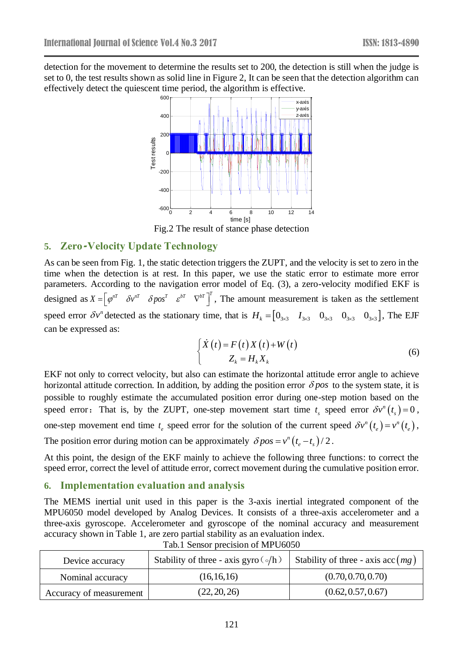detection for the movement to determine the results set to 200, the detection is still when the judge is set to 0, the test results shown as solid line in Figure 2, It can be seen that the detection algorithm can effectively detect the quiescent time period, the algorithm is effective.



Fig.2 The result of stance phase detection

### **5. Zero-Velocity Update Technology**

As can be seen from Fig. 1, the static detection triggers the ZUPT, and the velocity is set to zero in the time when the detection is at rest. In this paper, we use the static error to estimate more error parameters. According to the navigation error model of Eq. (3), a zero-velocity modified EKF is designed as  $X = \begin{bmatrix} \varphi^{nT} & \delta \nu^{nT} & \delta pos^{T} & \xi^{bT} & \nabla^{bT} \end{bmatrix}^{T}$ , The amount measurement is taken as the settlement speed error  $\delta v^n$  detected as the stationary time, that is  $H_k = [0_{3\times 3} \quad I_{3\times 3} \quad 0_{3\times 3} \quad 0_{3\times 3} \quad 0_{3\times 3}]$ , The EJF can be expressed as:

$$
\begin{cases}\n\dot{X}(t) = F(t)X(t) + W(t) \\
Z_k = H_k X_k\n\end{cases}
$$
\n(6)

EKF not only to correct velocity, but also can estimate the horizontal attitude error angle to achieve horizontal attitude correction. In addition, by adding the position error  $\delta pos$  to the system state, it is possible to roughly estimate the accumulated position error during one-step motion based on the speed error: That is, by the ZUPT, one-step movement start time  $t_s$  speed error  $\delta v^n(t_s) = 0$  $\delta v^n(t_s) = 0$ , one-step movement end time  $t_e$  speed error for the solution of the current speed  $\delta v^n(t_e) = v^n(t_e)$  $\delta v^n(t_e) = v^n(t_e)$ , The position error during motion can be approximately  $\delta pos = v^n (t_e - t_s)/2$ .

At this point, the design of the EKF mainly to achieve the following three functions: to correct the speed error, correct the level of attitude error, correct movement during the cumulative position error.

#### **6. Implementation evaluation and analysis**

The MEMS inertial unit used in this paper is the 3-axis inertial integrated component of the MPU6050 model developed by Analog Devices. It consists of a three-axis accelerometer and a three-axis gyroscope. Accelerometer and gyroscope of the nominal accuracy and measurement accuracy shown in Table 1, are zero partial stability as an evaluation index.

| Device accuracy         | Stability of three - axis gyro $\left(\circ/h\right)$ | Stability of three - axis $\operatorname{acc}(mg)$ |
|-------------------------|-------------------------------------------------------|----------------------------------------------------|
| Nominal accuracy        | (16, 16, 16)                                          | (0.70, 0.70, 0.70)                                 |
| Accuracy of measurement | (22, 20, 26)                                          | (0.62, 0.57, 0.67)                                 |

Tab.1 Sensor precision of MPU6050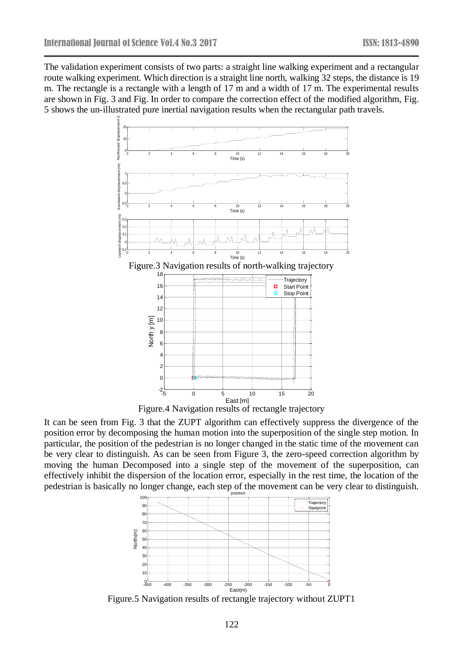The validation experiment consists of two parts: a straight line walking experiment and a rectangular route walking experiment. Which direction is a straight line north, walking 32 steps, the distance is 19 m. The rectangle is a rectangle with a length of 17 m and a width of 17 m. The experimental results are shown in Fig. 3 and Fig. In order to compare the correction effect of the modified algorithm, Fig. 5 shows the un-illustrated pure inertial navigation results when the rectangular path travels.



East [m] Figure.4 Navigation results of rectangle trajectory

 $-2\frac{1}{5}$  $\overline{0}$ 

-5 0 5 10 15 20

It can be seen from Fig. 3 that the ZUPT algorithm can effectively suppress the divergence of the position error by decomposing the human motion into the superposition of the single step motion. In particular, the position of the pedestrian is no longer changed in the static time of the movement can be very clear to distinguish. As can be seen from Figure 3, the zero-speed correction algorithm by moving the human Decomposed into a single step of the movement of the superposition, can effectively inhibit the dispersion of the location error, especially in the rest time, the location of the pedestrian is basically no longer change, each step of the movement can be very clear to distinguish.



Figure.5 Navigation results of rectangle trajectory without ZUPT1